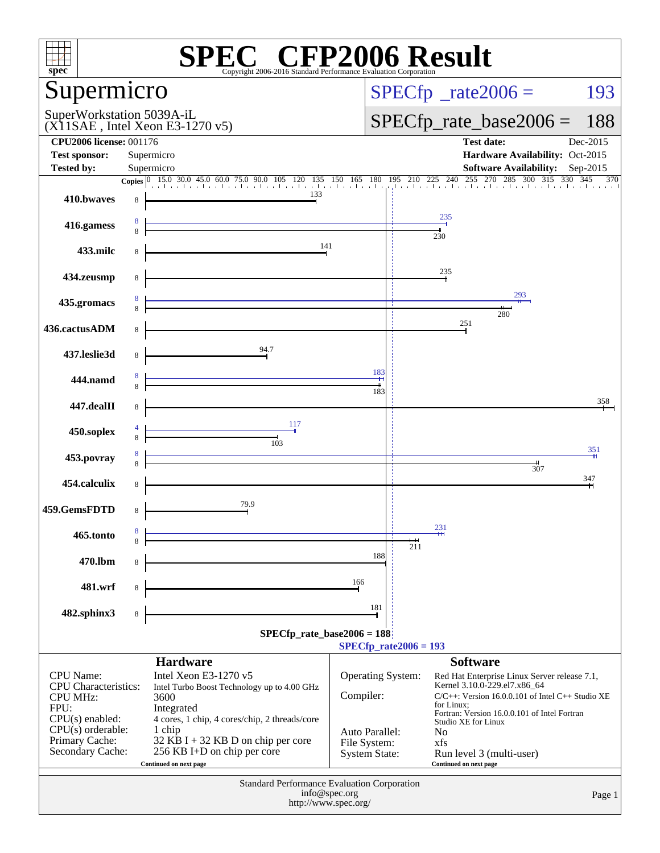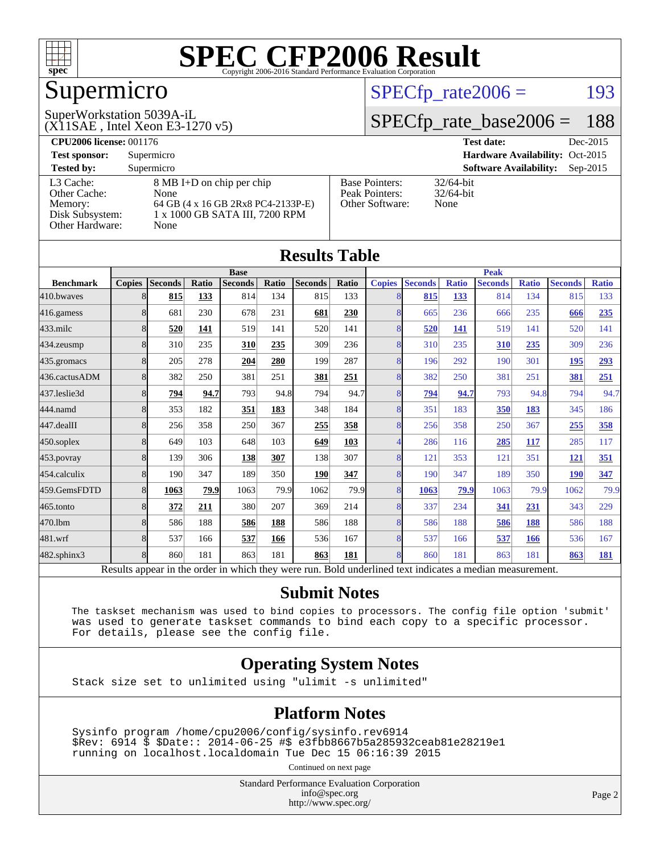

# Supermicro

#### (X11SAE , Intel Xeon E3-1270 v5) SuperWorkstation 5039A-iL

 $SPECTp_rate2006 = 193$ 

#### [SPECfp\\_rate\\_base2006 =](http://www.spec.org/auto/cpu2006/Docs/result-fields.html#SPECfpratebase2006) 188

| <b>CPU2006 license: 001176</b> |                                    |                       | Dec-2015<br><b>Test date:</b>               |  |  |  |  |
|--------------------------------|------------------------------------|-----------------------|---------------------------------------------|--|--|--|--|
| <b>Test sponsor:</b>           | Supermicro                         |                       | Hardware Availability: Oct-2015             |  |  |  |  |
| <b>Tested by:</b>              | Supermicro                         |                       | <b>Software Availability:</b><br>$Sep-2015$ |  |  |  |  |
| L3 Cache:                      | 8 MB I+D on chip per chip          | <b>Base Pointers:</b> | $32/64$ -bit                                |  |  |  |  |
| Other Cache:                   | None                               | Peak Pointers:        | $32/64$ -bit                                |  |  |  |  |
| Memory:                        | 64 GB (4 x 16 GB 2Rx8 PC4-2133P-E) | Other Software:       | None                                        |  |  |  |  |
| Disk Subsystem:                | 1 x 1000 GB SATA III, 7200 RPM     |                       |                                             |  |  |  |  |
| Other Hardware:                | None                               |                       |                                             |  |  |  |  |

|                                                                                                          |               |                |       |                |       | <b>Results Table</b> |       |               |                |              |                |              |                |              |
|----------------------------------------------------------------------------------------------------------|---------------|----------------|-------|----------------|-------|----------------------|-------|---------------|----------------|--------------|----------------|--------------|----------------|--------------|
|                                                                                                          | <b>Base</b>   |                |       |                |       | <b>Peak</b>          |       |               |                |              |                |              |                |              |
| <b>Benchmark</b>                                                                                         | <b>Copies</b> | <b>Seconds</b> | Ratio | <b>Seconds</b> | Ratio | <b>Seconds</b>       | Ratio | <b>Copies</b> | <b>Seconds</b> | <b>Ratio</b> | <b>Seconds</b> | <b>Ratio</b> | <b>Seconds</b> | <b>Ratio</b> |
| 410.bwayes                                                                                               | 8             | 815            | 133   | 814            | 134   | 815                  | 133   | 8             | 815            | 133          | 814            | 134          | 815            | 133          |
| 416.gamess                                                                                               | 8             | 681            | 230   | 678            | 231   | 681                  | 230   | 8             | 665            | 236          | 666            | 235          | 666            | 235          |
| $433$ .milc                                                                                              | 8             | 520            | 141   | 519            | 141   | 520                  | 141   | 8             | 520            | 141          | 519            | 141          | 520            | 141          |
| 434.zeusmp                                                                                               | 8             | 310            | 235   | 310            | 235   | 309                  | 236   | 8             | 310            | 235          | 310            | 235          | 309            | 236          |
| 435.gromacs                                                                                              | 8             | 205            | 278   | 204            | 280   | 199                  | 287   | 8             | 196            | 292          | 190            | 301          | 195            | 293          |
| 436.cactusADM                                                                                            | 8             | 382            | 250   | 381            | 251   | 381                  | 251   | 8             | 382            | 250          | 381            | 251          | 381            | 251          |
| 437.leslie3d                                                                                             | 8             | 794            | 94.7  | 793            | 94.8  | 794                  | 94.7  | 8             | 794            | 94.7         | 793            | 94.8         | 794            | 94.7         |
| 444.namd                                                                                                 | 8             | 353            | 182   | 351            | 183   | 348                  | 184   | 8             | 351            | 183          | 350            | 183          | 345            | 186          |
| 447.dealII                                                                                               | 8             | 256            | 358   | 250            | 367   | 255                  | 358   | 8             | 256            | 358          | 250            | 367          | 255            | 358          |
| $450$ .soplex                                                                                            | 8             | 649            | 103   | 648            | 103   | 649                  | 103   | 4             | 286            | 116          | 285            | 117          | 285            | 117          |
| 453.povray                                                                                               | 8             | 139            | 306   | 138            | 307   | 138                  | 307   | 8             | 121            | 353          | 121            | 351          | 121            | 351          |
| 454.calculix                                                                                             | 8             | 190            | 347   | 189            | 350   | 190                  | 347   | 8             | 190            | 347          | 189            | 350          | <b>190</b>     | 347          |
| 459.GemsFDTD                                                                                             | 8             | 1063           | 79.9  | 1063           | 79.9  | 1062                 | 79.9  | 8             | 1063           | 79.9         | 1063           | 79.9         | 1062           | 79.9         |
| $465$ .tonto                                                                                             | 8             | 372            | 211   | 380            | 207   | 369                  | 214   | 8             | 337            | 234          | 341            | 231          | 343            | 229          |
| 470.1bm                                                                                                  | 8             | 586            | 188   | 586            | 188   | 586                  | 188   | 8             | 586            | 188          | 586            | 188          | 586            | 188          |
| 481.wrf                                                                                                  | 8             | 537            | 166   | 537            | 166   | 536                  | 167   | 8             | 537            | 166          | 537            | 166          | 536            | 167          |
| $482$ .sphinx $3$                                                                                        | 8             | 860            | 181   | 863            | 181   | 863                  | 181   | 8             | 860            | 181          | 863            | 181          | 863            | 181          |
| Results appear in the order in which they were run. Bold underlined text indicates a median measurement. |               |                |       |                |       |                      |       |               |                |              |                |              |                |              |

#### **[Submit Notes](http://www.spec.org/auto/cpu2006/Docs/result-fields.html#SubmitNotes)**

 The taskset mechanism was used to bind copies to processors. The config file option 'submit' was used to generate taskset commands to bind each copy to a specific processor. For details, please see the config file.

#### **[Operating System Notes](http://www.spec.org/auto/cpu2006/Docs/result-fields.html#OperatingSystemNotes)**

Stack size set to unlimited using "ulimit -s unlimited"

#### **[Platform Notes](http://www.spec.org/auto/cpu2006/Docs/result-fields.html#PlatformNotes)**

 Sysinfo program /home/cpu2006/config/sysinfo.rev6914 \$Rev: 6914 \$ \$Date:: 2014-06-25 #\$ e3fbb8667b5a285932ceab81e28219e1 running on localhost.localdomain Tue Dec 15 06:16:39 2015

Continued on next page

Standard Performance Evaluation Corporation [info@spec.org](mailto:info@spec.org) <http://www.spec.org/>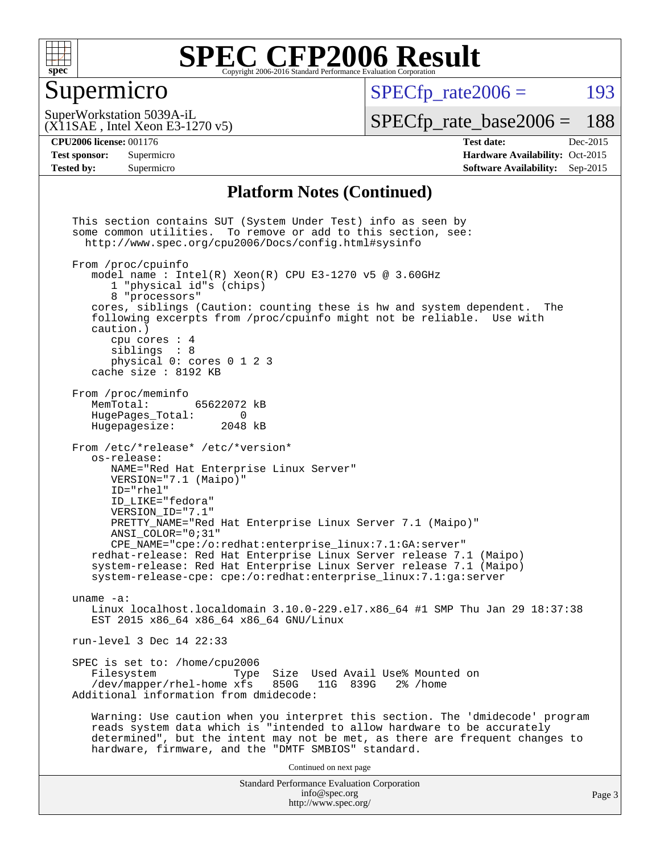

### Supermicro

 $SPECTp\_rate2006 = 193$ 

(X11SAE , Intel Xeon E3-1270 v5) SuperWorkstation 5039A-iL

[SPECfp\\_rate\\_base2006 =](http://www.spec.org/auto/cpu2006/Docs/result-fields.html#SPECfpratebase2006) 188

**[Tested by:](http://www.spec.org/auto/cpu2006/Docs/result-fields.html#Testedby)** Supermicro **Supermicro [Software Availability:](http://www.spec.org/auto/cpu2006/Docs/result-fields.html#SoftwareAvailability)** Sep-2015

**[CPU2006 license:](http://www.spec.org/auto/cpu2006/Docs/result-fields.html#CPU2006license)** 001176 **[Test date:](http://www.spec.org/auto/cpu2006/Docs/result-fields.html#Testdate)** Dec-2015 **[Test sponsor:](http://www.spec.org/auto/cpu2006/Docs/result-fields.html#Testsponsor)** Supermicro Supermicro **[Hardware Availability:](http://www.spec.org/auto/cpu2006/Docs/result-fields.html#HardwareAvailability)** Oct-2015

#### **[Platform Notes \(Continued\)](http://www.spec.org/auto/cpu2006/Docs/result-fields.html#PlatformNotes)**

Standard Performance Evaluation Corporation [info@spec.org](mailto:info@spec.org) <http://www.spec.org/> This section contains SUT (System Under Test) info as seen by some common utilities. To remove or add to this section, see: <http://www.spec.org/cpu2006/Docs/config.html#sysinfo> From /proc/cpuinfo model name : Intel $(R)$  Xeon $(R)$  CPU E3-1270 v5 @ 3.60GHz 1 "physical id"s (chips) 8 "processors" cores, siblings (Caution: counting these is hw and system dependent. The following excerpts from /proc/cpuinfo might not be reliable. Use with caution.) cpu cores : 4 siblings : 8 physical 0: cores 0 1 2 3 cache size : 8192 KB From /proc/meminfo MemTotal: 65622072 kB<br>HugePages Total: 0 HugePages\_Total: 0<br>Hugepagesize: 2048 kB Hugepagesize: From /etc/\*release\* /etc/\*version\* os-release: NAME="Red Hat Enterprise Linux Server" VERSION="7.1 (Maipo)" ID="rhel" ID\_LIKE="fedora" VERSION\_ID="7.1" PRETTY\_NAME="Red Hat Enterprise Linux Server 7.1 (Maipo)" ANSI\_COLOR="0;31" CPE\_NAME="cpe:/o:redhat:enterprise\_linux:7.1:GA:server" redhat-release: Red Hat Enterprise Linux Server release 7.1 (Maipo) system-release: Red Hat Enterprise Linux Server release 7.1 (Maipo) system-release-cpe: cpe:/o:redhat:enterprise\_linux:7.1:ga:server uname -a: Linux localhost.localdomain 3.10.0-229.el7.x86\_64 #1 SMP Thu Jan 29 18:37:38 EST 2015 x86\_64 x86\_64 x86\_64 GNU/Linux run-level 3 Dec 14 22:33 SPEC is set to: /home/cpu2006<br>Filesystem Type Type Size Used Avail Use% Mounted on<br>xfs 850G 11G 839G 2% /home /dev/mapper/rhel-home xfs 850G Additional information from dmidecode: Warning: Use caution when you interpret this section. The 'dmidecode' program reads system data which is "intended to allow hardware to be accurately determined", but the intent may not be met, as there are frequent changes to hardware, firmware, and the "DMTF SMBIOS" standard. Continued on next page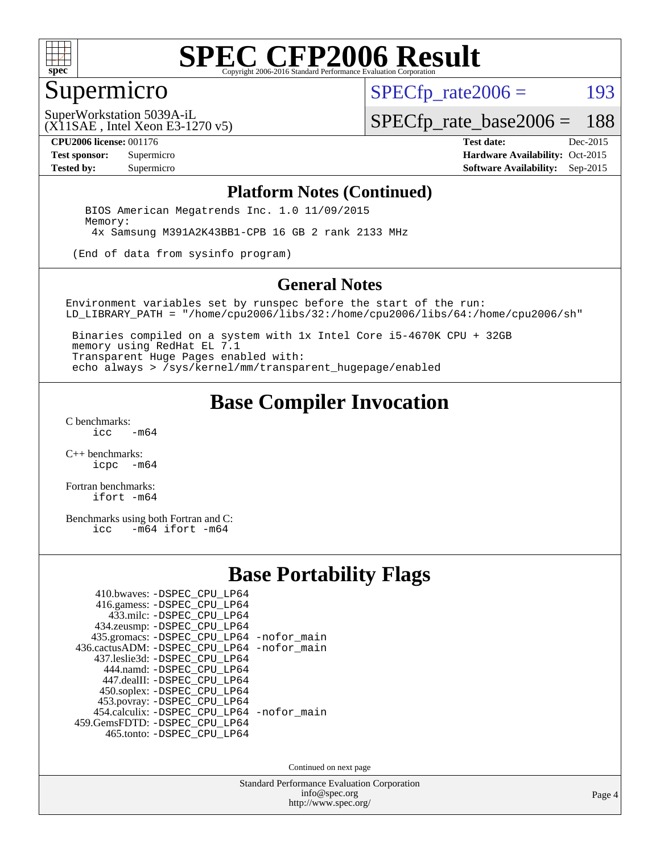

#### Supermicro

 $SPECTp\_rate2006 = 193$ 

(X11SAE , Intel Xeon E3-1270 v5) SuperWorkstation 5039A-iL

[SPECfp\\_rate\\_base2006 =](http://www.spec.org/auto/cpu2006/Docs/result-fields.html#SPECfpratebase2006) 188

**[CPU2006 license:](http://www.spec.org/auto/cpu2006/Docs/result-fields.html#CPU2006license)** 001176 **[Test date:](http://www.spec.org/auto/cpu2006/Docs/result-fields.html#Testdate)** Dec-2015

**[Test sponsor:](http://www.spec.org/auto/cpu2006/Docs/result-fields.html#Testsponsor)** Supermicro Supermicro **[Hardware Availability:](http://www.spec.org/auto/cpu2006/Docs/result-fields.html#HardwareAvailability)** Oct-2015 **[Tested by:](http://www.spec.org/auto/cpu2006/Docs/result-fields.html#Testedby)** Supermicro **Supermicro [Software Availability:](http://www.spec.org/auto/cpu2006/Docs/result-fields.html#SoftwareAvailability)** Sep-2015

#### **[Platform Notes \(Continued\)](http://www.spec.org/auto/cpu2006/Docs/result-fields.html#PlatformNotes)**

 BIOS American Megatrends Inc. 1.0 11/09/2015 Memory: 4x Samsung M391A2K43BB1-CPB 16 GB 2 rank 2133 MHz

(End of data from sysinfo program)

#### **[General Notes](http://www.spec.org/auto/cpu2006/Docs/result-fields.html#GeneralNotes)**

Environment variables set by runspec before the start of the run: LD\_LIBRARY\_PATH = "/home/cpu2006/libs/32:/home/cpu2006/libs/64:/home/cpu2006/sh"

 Binaries compiled on a system with 1x Intel Core i5-4670K CPU + 32GB memory using RedHat EL 7.1 Transparent Huge Pages enabled with: echo always > /sys/kernel/mm/transparent\_hugepage/enabled

#### **[Base Compiler Invocation](http://www.spec.org/auto/cpu2006/Docs/result-fields.html#BaseCompilerInvocation)**

[C benchmarks](http://www.spec.org/auto/cpu2006/Docs/result-fields.html#Cbenchmarks):  $-m64$ 

[C++ benchmarks:](http://www.spec.org/auto/cpu2006/Docs/result-fields.html#CXXbenchmarks) [icpc -m64](http://www.spec.org/cpu2006/results/res2016q1/cpu2006-20151217-38475.flags.html#user_CXXbase_intel_icpc_64bit_bedb90c1146cab66620883ef4f41a67e)

[Fortran benchmarks](http://www.spec.org/auto/cpu2006/Docs/result-fields.html#Fortranbenchmarks): [ifort -m64](http://www.spec.org/cpu2006/results/res2016q1/cpu2006-20151217-38475.flags.html#user_FCbase_intel_ifort_64bit_ee9d0fb25645d0210d97eb0527dcc06e)

[Benchmarks using both Fortran and C](http://www.spec.org/auto/cpu2006/Docs/result-fields.html#BenchmarksusingbothFortranandC):<br>icc -m64 ifort -m64  $-m64$  ifort  $-m64$ 

#### **[Base Portability Flags](http://www.spec.org/auto/cpu2006/Docs/result-fields.html#BasePortabilityFlags)**

| 410.bwaves: -DSPEC CPU LP64                 |  |
|---------------------------------------------|--|
| 416.gamess: -DSPEC_CPU_LP64                 |  |
| 433.milc: -DSPEC CPU LP64                   |  |
| 434.zeusmp: -DSPEC_CPU_LP64                 |  |
| 435.gromacs: -DSPEC_CPU_LP64 -nofor_main    |  |
| 436.cactusADM: -DSPEC CPU LP64 -nofor main  |  |
| 437.leslie3d: -DSPEC CPU LP64               |  |
| 444.namd: - DSPEC_CPU_LP64                  |  |
| 447.dealII: -DSPEC_CPU LP64                 |  |
| 450.soplex: -DSPEC_CPU_LP64                 |  |
| 453.povray: -DSPEC_CPU_LP64                 |  |
| 454.calculix: - DSPEC CPU LP64 - nofor main |  |
| 459.GemsFDTD: -DSPEC_CPU_LP64               |  |
| 465.tonto: -DSPEC_CPU_LP64                  |  |

Continued on next page

Standard Performance Evaluation Corporation [info@spec.org](mailto:info@spec.org) <http://www.spec.org/>

Page 4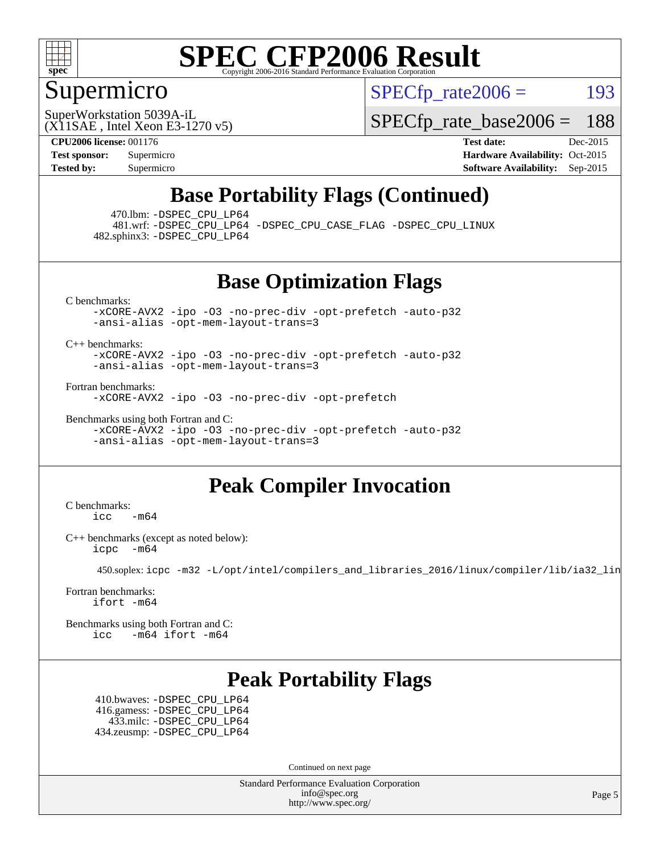

### Supermicro

 $SPECTp\_rate2006 = 193$ 

(X11SAE , Intel Xeon E3-1270 v5) SuperWorkstation 5039A-iL

[SPECfp\\_rate\\_base2006 =](http://www.spec.org/auto/cpu2006/Docs/result-fields.html#SPECfpratebase2006) 188

**[CPU2006 license:](http://www.spec.org/auto/cpu2006/Docs/result-fields.html#CPU2006license)** 001176 **[Test date:](http://www.spec.org/auto/cpu2006/Docs/result-fields.html#Testdate)** Dec-2015 **[Test sponsor:](http://www.spec.org/auto/cpu2006/Docs/result-fields.html#Testsponsor)** Supermicro Supermicro **[Hardware Availability:](http://www.spec.org/auto/cpu2006/Docs/result-fields.html#HardwareAvailability)** Oct-2015 **[Tested by:](http://www.spec.org/auto/cpu2006/Docs/result-fields.html#Testedby)** Supermicro **Supermicro [Software Availability:](http://www.spec.org/auto/cpu2006/Docs/result-fields.html#SoftwareAvailability)** Sep-2015

### **[Base Portability Flags \(Continued\)](http://www.spec.org/auto/cpu2006/Docs/result-fields.html#BasePortabilityFlags)**

470.lbm: [-DSPEC\\_CPU\\_LP64](http://www.spec.org/cpu2006/results/res2016q1/cpu2006-20151217-38475.flags.html#suite_basePORTABILITY470_lbm_DSPEC_CPU_LP64)

 481.wrf: [-DSPEC\\_CPU\\_LP64](http://www.spec.org/cpu2006/results/res2016q1/cpu2006-20151217-38475.flags.html#suite_basePORTABILITY481_wrf_DSPEC_CPU_LP64) [-DSPEC\\_CPU\\_CASE\\_FLAG](http://www.spec.org/cpu2006/results/res2016q1/cpu2006-20151217-38475.flags.html#b481.wrf_baseCPORTABILITY_DSPEC_CPU_CASE_FLAG) [-DSPEC\\_CPU\\_LINUX](http://www.spec.org/cpu2006/results/res2016q1/cpu2006-20151217-38475.flags.html#b481.wrf_baseCPORTABILITY_DSPEC_CPU_LINUX) 482.sphinx3: [-DSPEC\\_CPU\\_LP64](http://www.spec.org/cpu2006/results/res2016q1/cpu2006-20151217-38475.flags.html#suite_basePORTABILITY482_sphinx3_DSPEC_CPU_LP64)

#### **[Base Optimization Flags](http://www.spec.org/auto/cpu2006/Docs/result-fields.html#BaseOptimizationFlags)**

[C benchmarks](http://www.spec.org/auto/cpu2006/Docs/result-fields.html#Cbenchmarks):

[-xCORE-AVX2](http://www.spec.org/cpu2006/results/res2016q1/cpu2006-20151217-38475.flags.html#user_CCbase_f-xAVX2_5f5fc0cbe2c9f62c816d3e45806c70d7) [-ipo](http://www.spec.org/cpu2006/results/res2016q1/cpu2006-20151217-38475.flags.html#user_CCbase_f-ipo) [-O3](http://www.spec.org/cpu2006/results/res2016q1/cpu2006-20151217-38475.flags.html#user_CCbase_f-O3) [-no-prec-div](http://www.spec.org/cpu2006/results/res2016q1/cpu2006-20151217-38475.flags.html#user_CCbase_f-no-prec-div) [-opt-prefetch](http://www.spec.org/cpu2006/results/res2016q1/cpu2006-20151217-38475.flags.html#user_CCbase_f-opt-prefetch) [-auto-p32](http://www.spec.org/cpu2006/results/res2016q1/cpu2006-20151217-38475.flags.html#user_CCbase_f-auto-p32) [-ansi-alias](http://www.spec.org/cpu2006/results/res2016q1/cpu2006-20151217-38475.flags.html#user_CCbase_f-ansi-alias) [-opt-mem-layout-trans=3](http://www.spec.org/cpu2006/results/res2016q1/cpu2006-20151217-38475.flags.html#user_CCbase_f-opt-mem-layout-trans_a7b82ad4bd7abf52556d4961a2ae94d5)

[C++ benchmarks:](http://www.spec.org/auto/cpu2006/Docs/result-fields.html#CXXbenchmarks)

[-xCORE-AVX2](http://www.spec.org/cpu2006/results/res2016q1/cpu2006-20151217-38475.flags.html#user_CXXbase_f-xAVX2_5f5fc0cbe2c9f62c816d3e45806c70d7) [-ipo](http://www.spec.org/cpu2006/results/res2016q1/cpu2006-20151217-38475.flags.html#user_CXXbase_f-ipo) [-O3](http://www.spec.org/cpu2006/results/res2016q1/cpu2006-20151217-38475.flags.html#user_CXXbase_f-O3) [-no-prec-div](http://www.spec.org/cpu2006/results/res2016q1/cpu2006-20151217-38475.flags.html#user_CXXbase_f-no-prec-div) [-opt-prefetch](http://www.spec.org/cpu2006/results/res2016q1/cpu2006-20151217-38475.flags.html#user_CXXbase_f-opt-prefetch) [-auto-p32](http://www.spec.org/cpu2006/results/res2016q1/cpu2006-20151217-38475.flags.html#user_CXXbase_f-auto-p32) [-ansi-alias](http://www.spec.org/cpu2006/results/res2016q1/cpu2006-20151217-38475.flags.html#user_CXXbase_f-ansi-alias) [-opt-mem-layout-trans=3](http://www.spec.org/cpu2006/results/res2016q1/cpu2006-20151217-38475.flags.html#user_CXXbase_f-opt-mem-layout-trans_a7b82ad4bd7abf52556d4961a2ae94d5)

[Fortran benchmarks](http://www.spec.org/auto/cpu2006/Docs/result-fields.html#Fortranbenchmarks):

[-xCORE-AVX2](http://www.spec.org/cpu2006/results/res2016q1/cpu2006-20151217-38475.flags.html#user_FCbase_f-xAVX2_5f5fc0cbe2c9f62c816d3e45806c70d7) [-ipo](http://www.spec.org/cpu2006/results/res2016q1/cpu2006-20151217-38475.flags.html#user_FCbase_f-ipo) [-O3](http://www.spec.org/cpu2006/results/res2016q1/cpu2006-20151217-38475.flags.html#user_FCbase_f-O3) [-no-prec-div](http://www.spec.org/cpu2006/results/res2016q1/cpu2006-20151217-38475.flags.html#user_FCbase_f-no-prec-div) [-opt-prefetch](http://www.spec.org/cpu2006/results/res2016q1/cpu2006-20151217-38475.flags.html#user_FCbase_f-opt-prefetch)

[Benchmarks using both Fortran and C](http://www.spec.org/auto/cpu2006/Docs/result-fields.html#BenchmarksusingbothFortranandC): [-xCORE-AVX2](http://www.spec.org/cpu2006/results/res2016q1/cpu2006-20151217-38475.flags.html#user_CC_FCbase_f-xAVX2_5f5fc0cbe2c9f62c816d3e45806c70d7) [-ipo](http://www.spec.org/cpu2006/results/res2016q1/cpu2006-20151217-38475.flags.html#user_CC_FCbase_f-ipo) [-O3](http://www.spec.org/cpu2006/results/res2016q1/cpu2006-20151217-38475.flags.html#user_CC_FCbase_f-O3) [-no-prec-div](http://www.spec.org/cpu2006/results/res2016q1/cpu2006-20151217-38475.flags.html#user_CC_FCbase_f-no-prec-div) [-opt-prefetch](http://www.spec.org/cpu2006/results/res2016q1/cpu2006-20151217-38475.flags.html#user_CC_FCbase_f-opt-prefetch) [-auto-p32](http://www.spec.org/cpu2006/results/res2016q1/cpu2006-20151217-38475.flags.html#user_CC_FCbase_f-auto-p32) [-ansi-alias](http://www.spec.org/cpu2006/results/res2016q1/cpu2006-20151217-38475.flags.html#user_CC_FCbase_f-ansi-alias) [-opt-mem-layout-trans=3](http://www.spec.org/cpu2006/results/res2016q1/cpu2006-20151217-38475.flags.html#user_CC_FCbase_f-opt-mem-layout-trans_a7b82ad4bd7abf52556d4961a2ae94d5)

### **[Peak Compiler Invocation](http://www.spec.org/auto/cpu2006/Docs/result-fields.html#PeakCompilerInvocation)**

[C benchmarks](http://www.spec.org/auto/cpu2006/Docs/result-fields.html#Cbenchmarks):  $\text{icc}$  -m64

[C++ benchmarks \(except as noted below\):](http://www.spec.org/auto/cpu2006/Docs/result-fields.html#CXXbenchmarksexceptasnotedbelow) [icpc -m64](http://www.spec.org/cpu2006/results/res2016q1/cpu2006-20151217-38475.flags.html#user_CXXpeak_intel_icpc_64bit_bedb90c1146cab66620883ef4f41a67e)

450.soplex: [icpc -m32 -L/opt/intel/compilers\\_and\\_libraries\\_2016/linux/compiler/lib/ia32\\_lin](http://www.spec.org/cpu2006/results/res2016q1/cpu2006-20151217-38475.flags.html#user_peakCXXLD450_soplex_intel_icpc_b4f50a394bdb4597aa5879c16bc3f5c5)

[Fortran benchmarks](http://www.spec.org/auto/cpu2006/Docs/result-fields.html#Fortranbenchmarks): [ifort -m64](http://www.spec.org/cpu2006/results/res2016q1/cpu2006-20151217-38475.flags.html#user_FCpeak_intel_ifort_64bit_ee9d0fb25645d0210d97eb0527dcc06e)

[Benchmarks using both Fortran and C](http://www.spec.org/auto/cpu2006/Docs/result-fields.html#BenchmarksusingbothFortranandC): [icc -m64](http://www.spec.org/cpu2006/results/res2016q1/cpu2006-20151217-38475.flags.html#user_CC_FCpeak_intel_icc_64bit_0b7121f5ab7cfabee23d88897260401c) [ifort -m64](http://www.spec.org/cpu2006/results/res2016q1/cpu2006-20151217-38475.flags.html#user_CC_FCpeak_intel_ifort_64bit_ee9d0fb25645d0210d97eb0527dcc06e)

### **[Peak Portability Flags](http://www.spec.org/auto/cpu2006/Docs/result-fields.html#PeakPortabilityFlags)**

 410.bwaves: [-DSPEC\\_CPU\\_LP64](http://www.spec.org/cpu2006/results/res2016q1/cpu2006-20151217-38475.flags.html#suite_peakPORTABILITY410_bwaves_DSPEC_CPU_LP64) 416.gamess: [-DSPEC\\_CPU\\_LP64](http://www.spec.org/cpu2006/results/res2016q1/cpu2006-20151217-38475.flags.html#suite_peakPORTABILITY416_gamess_DSPEC_CPU_LP64) 433.milc: [-DSPEC\\_CPU\\_LP64](http://www.spec.org/cpu2006/results/res2016q1/cpu2006-20151217-38475.flags.html#suite_peakPORTABILITY433_milc_DSPEC_CPU_LP64) 434.zeusmp: [-DSPEC\\_CPU\\_LP64](http://www.spec.org/cpu2006/results/res2016q1/cpu2006-20151217-38475.flags.html#suite_peakPORTABILITY434_zeusmp_DSPEC_CPU_LP64)

Continued on next page

Standard Performance Evaluation Corporation [info@spec.org](mailto:info@spec.org) <http://www.spec.org/>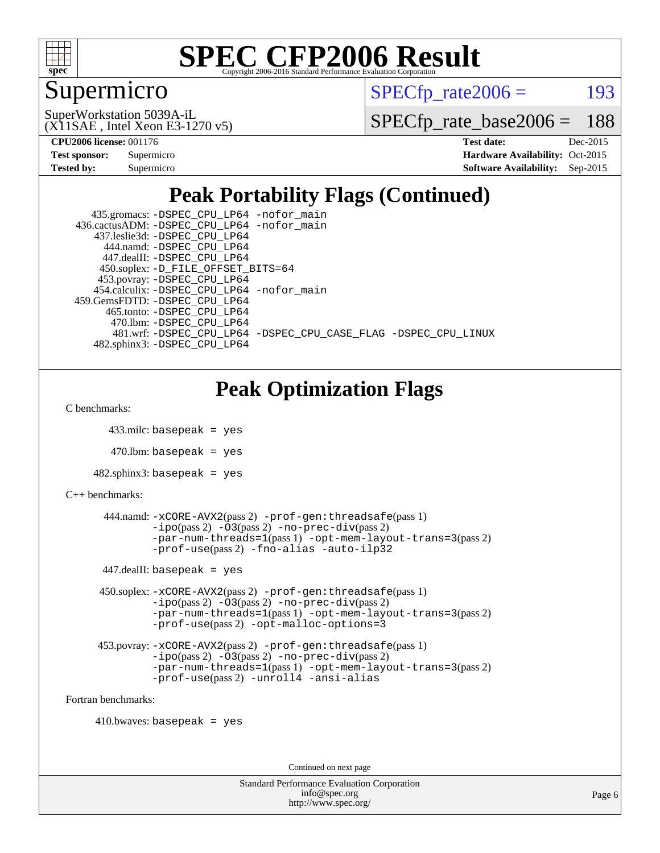

### Supermicro

 $SPECTp\_rate2006 = 193$ 

(X11SAE , Intel Xeon E3-1270 v5) SuperWorkstation 5039A-iL

[SPECfp\\_rate\\_base2006 =](http://www.spec.org/auto/cpu2006/Docs/result-fields.html#SPECfpratebase2006) 188

**[CPU2006 license:](http://www.spec.org/auto/cpu2006/Docs/result-fields.html#CPU2006license)** 001176 **[Test date:](http://www.spec.org/auto/cpu2006/Docs/result-fields.html#Testdate)** Dec-2015

| <b>Test sponsor:</b> | Supermicro |
|----------------------|------------|
| <b>Tested by:</b>    | Supermicro |

**[Hardware Availability:](http://www.spec.org/auto/cpu2006/Docs/result-fields.html#HardwareAvailability)** Oct-2015 **[Software Availability:](http://www.spec.org/auto/cpu2006/Docs/result-fields.html#SoftwareAvailability)** Sep-2015

## **[Peak Portability Flags \(Continued\)](http://www.spec.org/auto/cpu2006/Docs/result-fields.html#PeakPortabilityFlags)**

| 435.gromacs: -DSPEC_CPU_LP64 -nofor_main                       |
|----------------------------------------------------------------|
| 436.cactusADM: -DSPEC CPU LP64 -nofor main                     |
| 437.leslie3d: -DSPEC CPU LP64                                  |
| 444.namd: -DSPEC CPU LP64                                      |
| 447.dealII: -DSPEC CPU LP64                                    |
| 450.soplex: -D_FILE_OFFSET_BITS=64                             |
| 453.povray: -DSPEC_CPU_LP64                                    |
| 454.calculix: -DSPEC CPU LP64 -nofor main                      |
| 459. GemsFDTD: - DSPEC CPU LP64                                |
| 465.tonto: -DSPEC CPU LP64                                     |
| 470.1bm: -DSPEC_CPU_LP64                                       |
| 481.wrf: -DSPEC CPU LP64 -DSPEC CPU CASE FLAG -DSPEC CPU LINUX |
| 482.sphinx3: -DSPEC CPU LP64                                   |

### **[Peak Optimization Flags](http://www.spec.org/auto/cpu2006/Docs/result-fields.html#PeakOptimizationFlags)**

[C benchmarks](http://www.spec.org/auto/cpu2006/Docs/result-fields.html#Cbenchmarks):

```
 433.milc: basepeak = yes
```
 $470.$ lbm: basepeak = yes

```
482.sphinx3: basepeak = yes
```

```
C++ benchmarks:
```

```
 444.namd: -xCORE-AVX2(pass 2) -prof-gen:threadsafe(pass 1)
        -no-prec-div(pass 2)-par-num-threads=1(pass 1) -opt-mem-layout-trans=3(pass 2)
         -prof-use(pass 2) -fno-alias -auto-ilp32
447.dealII: basepeak = yes
 450.soplex: -xCORE-AVX2(pass 2) -prof-gen:threadsafe(pass 1)
         -ipo(pass 2) -O3(pass 2) -no-prec-div(pass 2)
         -par-num-threads=1(pass 1) -opt-mem-layout-trans=3(pass 2)
         -prof-use(pass 2) -opt-malloc-options=3
 453.povray: -xCORE-AVX2(pass 2) -prof-gen:threadsafe(pass 1)
         -no-prec-div(pass 2)-par-num-threads=1(pass 1) -opt-mem-layout-trans=3(pass 2)
         -prof-use(pass 2) -unroll4 -ansi-alias
```
[Fortran benchmarks](http://www.spec.org/auto/cpu2006/Docs/result-fields.html#Fortranbenchmarks):

 $410.bwaves: basepeak = yes$ 

Continued on next page

Standard Performance Evaluation Corporation [info@spec.org](mailto:info@spec.org) <http://www.spec.org/>